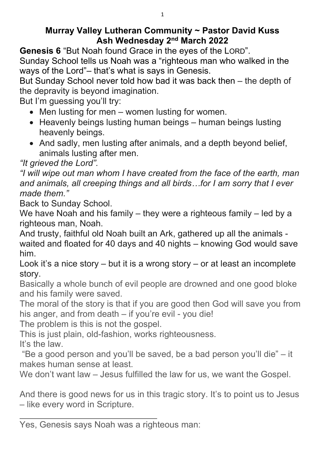## Murray Valley Lutheran Community ~ Pastor David Kuss Ash Wednesday 2nd March 2022

Genesis 6 "But Noah found Grace in the eyes of the LORD". Sunday School tells us Noah was a "righteous man who walked in the ways of the Lord"– that's what is says in Genesis.

But Sunday School never told how bad it was back then – the depth of the depravity is beyond imagination.

But I'm guessing you'll try:

- Men lusting for men women lusting for women.
- Heavenly beings lusting human beings human beings lusting heavenly beings.
- And sadly, men lusting after animals, and a depth beyond belief, animals lusting after men.

"It grieved the Lord".

"I will wipe out man whom I have created from the face of the earth, man and animals, all creeping things and all birds…for I am sorry that I ever made them."

Back to Sunday School.

We have Noah and his family – they were a righteous family – led by a righteous man, Noah.

And trusty, faithful old Noah built an Ark, gathered up all the animals waited and floated for 40 days and 40 nights – knowing God would save him.

Look it's a nice story  $-$  but it is a wrong story  $-$  or at least an incomplete story.

Basically a whole bunch of evil people are drowned and one good bloke and his family were saved.

The moral of the story is that if you are good then God will save you from his anger, and from death – if you're evil - you die!

The problem is this is not the gospel.

This is just plain, old-fashion, works righteousness.

It's the law.

 $\overline{a}$ 

 "Be a good person and you'll be saved, be a bad person you'll die" – it makes human sense at least.

We don't want law – Jesus fulfilled the law for us, we want the Gospel.

And there is good news for us in this tragic story. It's to point us to Jesus – like every word in Scripture.

Yes, Genesis says Noah was a righteous man: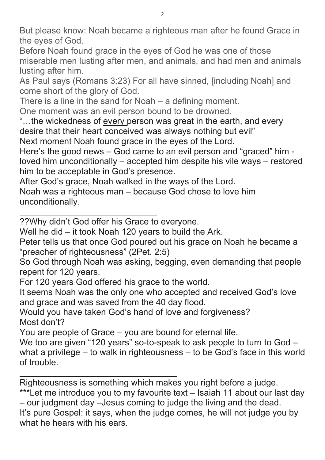But please know: Noah became a righteous man after he found Grace in the eyes of God.

Before Noah found grace in the eyes of God he was one of those miserable men lusting after men, and animals, and had men and animals lusting after him.

As Paul says (Romans 3:23) For all have sinned, [including Noah] and come short of the glory of God.

There is a line in the sand for Noah – a defining moment.

One moment was an evil person bound to be drowned.

"...the wickedness of every person was great in the earth, and every desire that their heart conceived was always nothing but evil" Next moment Noah found grace in the eyes of the Lord.

Here's the good news – God came to an evil person and "graced" him loved him unconditionally – accepted him despite his vile ways – restored him to be acceptable in God's presence.

After God's grace, Noah walked in the ways of the Lord.

Noah was a righteous man – because God chose to love him unconditionally.

??Why didn't God offer his Grace to everyone.

 $\overline{a}$ 

 $\overline{a}$ 

Well he did – it took Noah 120 years to build the Ark.

Peter tells us that once God poured out his grace on Noah he became a "preacher of righteousness" (2Pet. 2:5)

So God through Noah was asking, begging, even demanding that people repent for 120 years.

For 120 years God offered his grace to the world.

It seems Noah was the only one who accepted and received God's love and grace and was saved from the 40 day flood.

Would you have taken God's hand of love and forgiveness? Most don't?

You are people of Grace – you are bound for eternal life.

We too are given "120 years" so-to-speak to ask people to turn to God – what a privilege – to walk in righteousness – to be God's face in this world of trouble.

Righteousness is something which makes you right before a judge.

\*\*\*Let me introduce you to my favourite text – Isaiah 11 about our last day – our judgment day –Jesus coming to judge the living and the dead. It's pure Gospel: it says, when the judge comes, he will not judge you by

what he hears with his ears.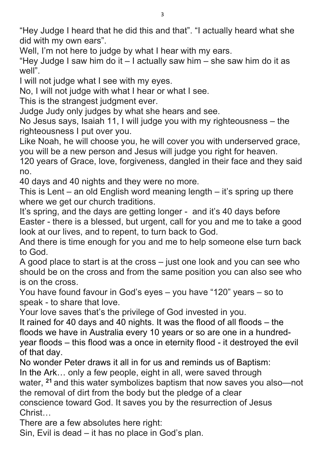"Hey Judge I heard that he did this and that". "I actually heard what she did with my own ears".

Well, I'm not here to judge by what I hear with my ears.

"Hey Judge I saw him do it  $-1$  actually saw him  $-$  she saw him do it as well".

I will not judge what I see with my eyes.

No, I will not judge with what I hear or what I see.

This is the strangest judgment ever.

Judge Judy only judges by what she hears and see.

No Jesus says, Isaiah 11, I will judge you with my righteousness – the righteousness I put over you.

Like Noah, he will choose you, he will cover you with underserved grace, you will be a new person and Jesus will judge you right for heaven.

120 years of Grace, love, forgiveness, dangled in their face and they said no.

40 days and 40 nights and they were no more.

This is Lent – an old English word meaning length  $-$  it's spring up there where we get our church traditions.

It's spring, and the days are getting longer - and it's 40 days before Easter - there is a blessed, but urgent, call for you and me to take a good look at our lives, and to repent, to turn back to God.

And there is time enough for you and me to help someone else turn back to God.

A good place to start is at the cross – just one look and you can see who should be on the cross and from the same position you can also see who is on the cross.

You have found favour in God's eyes – you have "120" years – so to speak - to share that love.

Your love saves that's the privilege of God invested in you.

It rained for 40 days and 40 nights. It was the flood of all floods – the floods we have in Australia every 10 years or so are one in a hundredyear floods – this flood was a once in eternity flood - it destroyed the evil of that day.

No wonder Peter draws it all in for us and reminds us of Baptism:

In the Ark… only a few people, eight in all, were saved through

water, <sup>21</sup> and this water symbolizes baptism that now saves you also—not the removal of dirt from the body but the pledge of a clear

conscience toward God. It saves you by the resurrection of Jesus Christ…

There are a few absolutes here right:

Sin, Evil is dead – it has no place in God's plan.